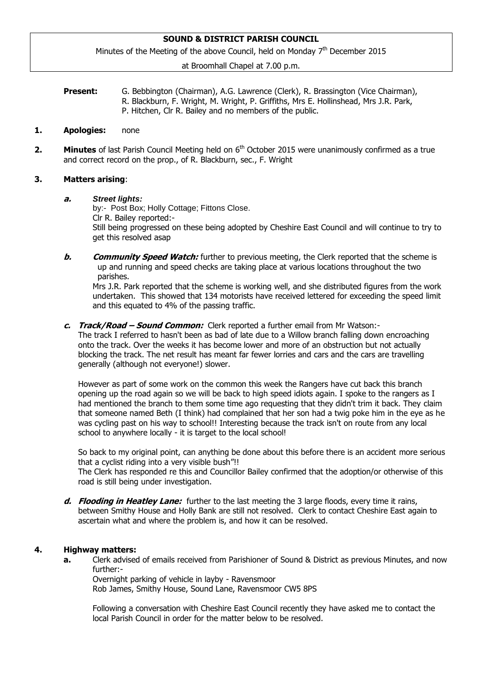# **SOUND & DISTRICT PARISH COUNCIL**

Minutes of the Meeting of the above Council, held on Monday 7<sup>th</sup> December 2015

at Broomhall Chapel at 7.00 p.m.

| <b>Present:</b> | G. Bebbington (Chairman), A.G. Lawrence (Clerk), R. Brassington (Vice Chairman),     |
|-----------------|--------------------------------------------------------------------------------------|
|                 | R. Blackburn, F. Wright, M. Wright, P. Griffiths, Mrs E. Hollinshead, Mrs J.R. Park, |
|                 | P. Hitchen, Clr R. Bailey and no members of the public.                              |

### **1. Apologies:** none

**2.** Minutes of last Parish Council Meeting held on 6<sup>th</sup> October 2015 were unanimously confirmed as a true and correct record on the prop., of R. Blackburn, sec., F. Wright

### **3. Matters arising**:

### **a.** *Street lights:*

by:- Post Box; Holly Cottage; Fittons Close. Clr R. Bailey reported:- Still being progressed on these being adopted by Cheshire East Council and will continue to try to get this resolved asap

**b. Community Speed Watch:** further to previous meeting, the Clerk reported that the scheme is up and running and speed checks are taking place at various locations throughout the two parishes.

Mrs J.R. Park reported that the scheme is working well, and she distributed figures from the work undertaken. This showed that 134 motorists have received lettered for exceeding the speed limit and this equated to 4% of the passing traffic.

**c. Track/Road – Sound Common:** Clerk reported a further email from Mr Watson:-

The track I referred to hasn't been as bad of late due to a Willow branch falling down encroaching onto the track. Over the weeks it has become lower and more of an obstruction but not actually blocking the track. The net result has meant far fewer lorries and cars and the cars are travelling generally (although not everyone!) slower.

However as part of some work on the common this week the Rangers have cut back this branch opening up the road again so we will be back to high speed idiots again. I spoke to the rangers as I had mentioned the branch to them some time ago requesting that they didn't trim it back. They claim that someone named Beth (I think) had complained that her son had a twig poke him in the eye as he was cycling past on his way to school!! Interesting because the track isn't on route from any local school to anywhere locally - it is target to the local school!

So back to my original point, can anything be done about this before there is an accident more serious that a cyclist riding into a very visible bush"!!

The Clerk has responded re this and Councillor Bailey confirmed that the adoption/or otherwise of this road is still being under investigation.

**d. Flooding in Heatley Lane:** further to the last meeting the 3 large floods, every time it rains, between Smithy House and Holly Bank are still not resolved. Clerk to contact Cheshire East again to ascertain what and where the problem is, and how it can be resolved.

### **4. Highway matters:**

**a.** Clerk advised of emails received from Parishioner of Sound & District as previous Minutes, and now further:-

Overnight parking of vehicle in layby - Ravensmoor

Rob James, Smithy House, Sound Lane, Ravensmoor CW5 8PS

Following a conversation with Cheshire East Council recently they have asked me to contact the local Parish Council in order for the matter below to be resolved.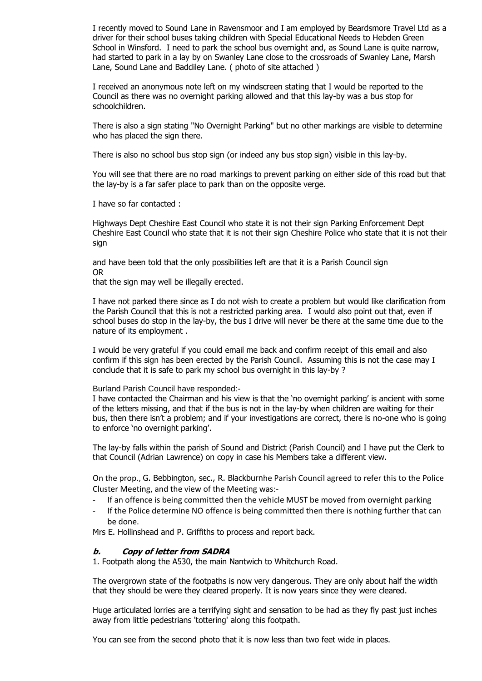I recently moved to Sound Lane in Ravensmoor and I am employed by Beardsmore Travel Ltd as a driver for their school buses taking children with Special Educational Needs to Hebden Green School in Winsford. I need to park the school bus overnight and, as Sound Lane is quite narrow, had started to park in a lay by on Swanley Lane close to the crossroads of Swanley Lane, Marsh Lane, Sound Lane and Baddiley Lane. ( photo of site attached )

I received an anonymous note left on my windscreen stating that I would be reported to the Council as there was no overnight parking allowed and that this lay-by was a bus stop for schoolchildren.

There is also a sign stating "No Overnight Parking" but no other markings are visible to determine who has placed the sign there.

There is also no school bus stop sign (or indeed any bus stop sign) visible in this lay-by.

You will see that there are no road markings to prevent parking on either side of this road but that the lay-by is a far safer place to park than on the opposite verge.

I have so far contacted :

Highways Dept Cheshire East Council who state it is not their sign Parking Enforcement Dept Cheshire East Council who state that it is not their sign Cheshire Police who state that it is not their sign

and have been told that the only possibilities left are that it is a Parish Council sign OR

that the sign may well be illegally erected.

I have not parked there since as I do not wish to create a problem but would like clarification from the Parish Council that this is not a restricted parking area. I would also point out that, even if school buses do stop in the lay-by, the bus I drive will never be there at the same time due to the nature of its employment .

I would be very grateful if you could email me back and confirm receipt of this email and also confirm if this sign has been erected by the Parish Council. Assuming this is not the case may I conclude that it is safe to park my school bus overnight in this lay-by ?

Burland Parish Council have responded:-

I have contacted the Chairman and his view is that the 'no overnight parking' is ancient with some of the letters missing, and that if the bus is not in the lay-by when children are waiting for their bus, then there isn't a problem; and if your investigations are correct, there is no-one who is going to enforce 'no overnight parking'.

The lay-by falls within the parish of Sound and District (Parish Council) and I have put the Clerk to that Council (Adrian Lawrence) on copy in case his Members take a different view.

On the prop., G. Bebbington, sec., R. Blackburnhe Parish Council agreed to refer this to the Police Cluster Meeting, and the view of the Meeting was:-

- If an offence is being committed then the vehicle MUST be moved from overnight parking
- If the Police determine NO offence is being committed then there is nothing further that can be done.

Mrs E. Hollinshead and P. Griffiths to process and report back.

### **b. Copy of letter from SADRA**

1. Footpath along the A530, the main Nantwich to Whitchurch Road.

The overgrown state of the footpaths is now very dangerous. They are only about half the width that they should be were they cleared properly. It is now years since they were cleared.

Huge articulated lorries are a terrifying sight and sensation to be had as they fly past just inches away from little pedestrians 'tottering' along this footpath.

You can see from the second photo that it is now less than two feet wide in places.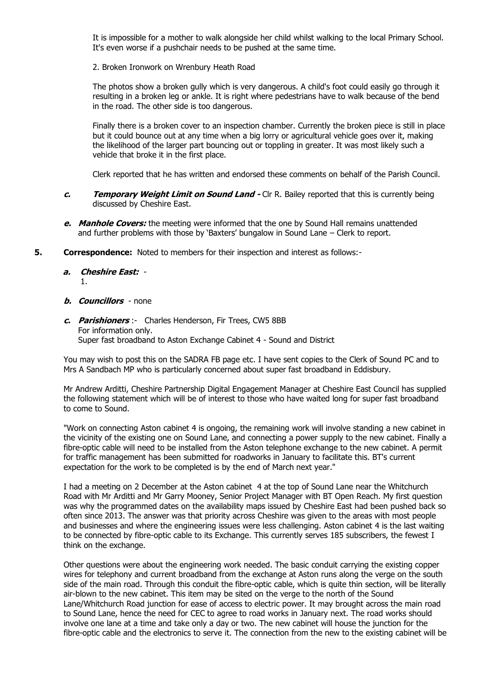It is impossible for a mother to walk alongside her child whilst walking to the local Primary School. It's even worse if a pushchair needs to be pushed at the same time.

2. Broken Ironwork on Wrenbury Heath Road

The photos show a broken gully which is very dangerous. A child's foot could easily go through it resulting in a broken leg or ankle. It is right where pedestrians have to walk because of the bend in the road. The other side is too dangerous.

Finally there is a broken cover to an inspection chamber. Currently the broken piece is still in place but it could bounce out at any time when a big lorry or agricultural vehicle goes over it, making the likelihood of the larger part bouncing out or toppling in greater. It was most likely such a vehicle that broke it in the first place.

Clerk reported that he has written and endorsed these comments on behalf of the Parish Council.

- **c. Temporary Weight Limit on Sound Land -** Clr R. Bailey reported that this is currently being discussed by Cheshire East.
- **e. Manhole Covers:** the meeting were informed that the one by Sound Hall remains unattended and further problems with those by 'Baxters' bungalow in Sound Lane – Clerk to report.
- **5. Correspondence:** Noted to members for their inspection and interest as follows:
	- **a. Cheshire East:** 1.
	- **b. Councillors** none
	- **c. Parishioners** :- Charles Henderson, Fir Trees, CW5 8BB For information only. Super fast broadband to Aston Exchange Cabinet 4 - Sound and District

You may wish to post this on the SADRA FB page etc. I have sent copies to the Clerk of Sound PC and to Mrs A Sandbach MP who is particularly concerned about super fast broadband in Eddisbury.

Mr Andrew Arditti, Cheshire Partnership Digital Engagement Manager at Cheshire East Council has supplied the following statement which will be of interest to those who have waited long for super fast broadband to come to Sound.

"Work on connecting Aston cabinet 4 is ongoing, the remaining work will involve standing a new cabinet in the vicinity of the existing one on Sound Lane, and connecting a power supply to the new cabinet. Finally a fibre-optic cable will need to be installed from the Aston telephone exchange to the new cabinet. A permit for traffic management has been submitted for roadworks in January to facilitate this. BT's current expectation for the work to be completed is by the end of March next year."

I had a meeting on 2 December at the Aston cabinet 4 at the top of Sound Lane near the Whitchurch Road with Mr Arditti and Mr Garry Mooney, Senior Project Manager with BT Open Reach. My first question was why the programmed dates on the availability maps issued by Cheshire East had been pushed back so often since 2013. The answer was that priority across Cheshire was given to the areas with most people and businesses and where the engineering issues were less challenging. Aston cabinet 4 is the last waiting to be connected by fibre-optic cable to its Exchange. This currently serves 185 subscribers, the fewest I think on the exchange.

Other questions were about the engineering work needed. The basic conduit carrying the existing copper wires for telephony and current broadband from the exchange at Aston runs along the verge on the south side of the main road. Through this conduit the fibre-optic cable, which is quite thin section, will be literally air-blown to the new cabinet. This item may be sited on the verge to the north of the Sound Lane/Whitchurch Road junction for ease of access to electric power. It may brought across the main road to Sound Lane, hence the need for CEC to agree to road works in January next. The road works should involve one lane at a time and take only a day or two. The new cabinet will house the junction for the fibre-optic cable and the electronics to serve it. The connection from the new to the existing cabinet will be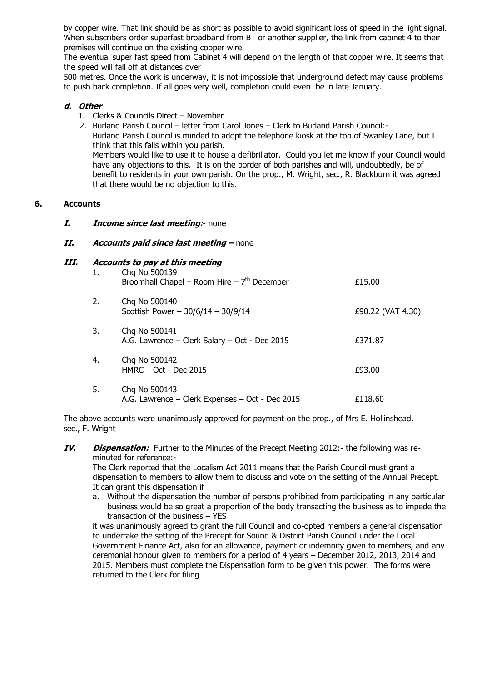by copper wire. That link should be as short as possible to avoid significant loss of speed in the light signal. When subscribers order superfast broadband from BT or another supplier, the link from cabinet 4 to their premises will continue on the existing copper wire.

The eventual super fast speed from Cabinet 4 will depend on the length of that copper wire. It seems that the speed will fall off at distances over

500 metres. Once the work is underway, it is not impossible that underground defect may cause problems to push back completion. If all goes very well, completion could even be in late January.

# **d. Other**

- 1. Clerks & Councils Direct November
- 2. Burland Parish Council letter from Carol Jones Clerk to Burland Parish Council:- Burland Parish Council is minded to adopt the telephone kiosk at the top of Swanley Lane, but I think that this falls within you parish. Members would like to use it to house a defibrillator. Could you let me know if your Council would have any objections to this. It is on the border of both parishes and will, undoubtedly, be of benefit to residents in your own parish. On the prop., M. Wright, sec., R. Blackburn it was agreed that there would be no objection to this.

# **6. Accounts**

### **I. Income since last meeting:**- none

# **II. Accounts paid since last meeting –** none

## **III. Accounts to pay at this meeting**

| 1. | Chq No 500139<br>Broomhall Chapel – Room Hire – $7th$ December   | £15.00            |
|----|------------------------------------------------------------------|-------------------|
| 2. | Chq No 500140<br>Scottish Power $-30/6/14 - 30/9/14$             | £90.22 (VAT 4.30) |
| 3. | Chq No 500141<br>A.G. Lawrence – Clerk Salary – Oct - Dec 2015   | £371.87           |
| 4. | Chq No 500142<br>$HMRC - Oct - Dec$ 2015                         | £93.00            |
| 5. | Chq No 500143<br>A.G. Lawrence - Clerk Expenses - Oct - Dec 2015 | £118.60           |

The above accounts were unanimously approved for payment on the prop., of Mrs E. Hollinshead, sec., F. Wright

**IV. Dispensation:** Further to the Minutes of the Precept Meeting 2012:- the following was reminuted for reference:-

The Clerk reported that the Localism Act 2011 means that the Parish Council must grant a dispensation to members to allow them to discuss and vote on the setting of the Annual Precept. It can grant this dispensation if

a. Without the dispensation the number of persons prohibited from participating in any particular business would be so great a proportion of the body transacting the business as to impede the transaction of the business – YES

it was unanimously agreed to grant the full Council and co-opted members a general dispensation to undertake the setting of the Precept for Sound & District Parish Council under the Local Government Finance Act, also for an allowance, payment or indemnity given to members, and any ceremonial honour given to members for a period of 4 years – December 2012, 2013, 2014 and 2015. Members must complete the Dispensation form to be given this power. The forms were returned to the Clerk for filing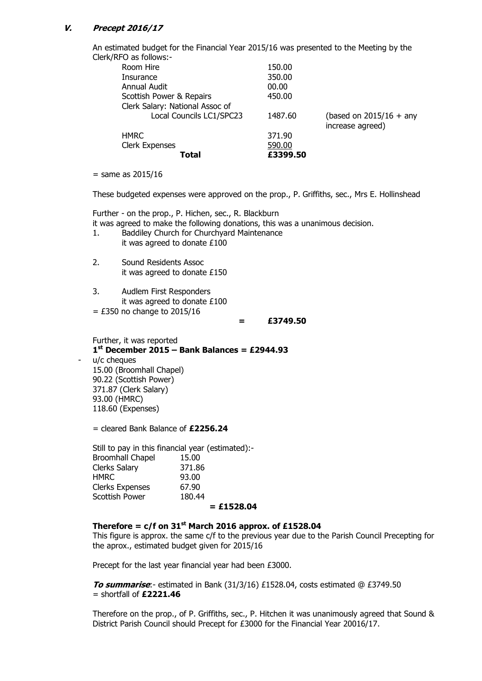## **V. Precept 2016/17**

An estimated budget for the Financial Year 2015/16 was presented to the Meeting by the Clerk/RFO as follows:-

| Total                           | £3399.50 |                           |
|---------------------------------|----------|---------------------------|
| <b>Clerk Expenses</b>           | 590.00   |                           |
| <b>HMRC</b>                     | 371.90   |                           |
|                                 |          | increase agreed)          |
| Local Councils LC1/SPC23        | 1487.60  | (based on $2015/16 +$ any |
| Clerk Salary: National Assoc of |          |                           |
| Scottish Power & Repairs        | 450.00   |                           |
| <b>Annual Audit</b>             | 00.00    |                           |
| Insurance                       | 350.00   |                           |
| Room Hire                       | 150.00   |                           |
| <u>o us isiis isi</u>           |          |                           |

 $=$  same as 2015/16

These budgeted expenses were approved on the prop., P. Griffiths, sec., Mrs E. Hollinshead

Further - on the prop., P. Hichen, sec., R. Blackburn it was agreed to make the following donations, this was a unanimous decision.

- 1. Baddiley Church for Churchyard Maintenance it was agreed to donate £100
- 2. Sound Residents Assoc it was agreed to donate £150
- 3. Audlem First Responders it was agreed to donate £100
- $=$  £350 no change to 2015/16

**= £3749.50**

Further, it was reported **1 st December 2015 – Bank Balances = £2944.93** u/c cheques 15.00 (Broomhall Chapel) 90.22 (Scottish Power) 371.87 (Clerk Salary) 93.00 (HMRC) 118.60 (Expenses)

= cleared Bank Balance of **£2256.24**

Still to pay in this financial year (estimated):- Broomhall Chapel 15.00 Clerks Salary 371.86 HMRC 93.00 Clerks Expenses 67.90 Scottish Power 180.44

#### **= £1528.04**

## **Therefore =**  $c/f$  **on 31<sup>st</sup> March 2016 approx. of £1528.04**

This figure is approx. the same c/f to the previous year due to the Parish Council Precepting for the aprox., estimated budget given for 2015/16

Precept for the last year financial year had been £3000.

**To summarise**:- estimated in Bank (31/3/16) £1528.04, costs estimated @ £3749.50 = shortfall of **£2221.46**

Therefore on the prop., of P. Griffiths, sec., P. Hitchen it was unanimously agreed that Sound & District Parish Council should Precept for £3000 for the Financial Year 20016/17.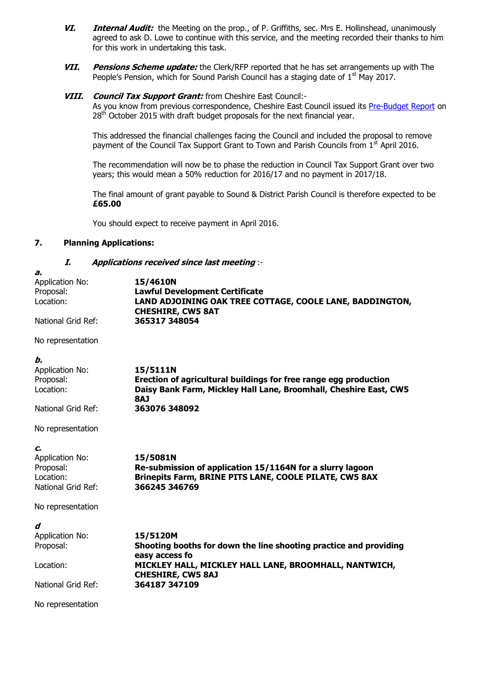- **VI. Internal Audit:** the Meeting on the prop., of P. Griffiths, sec. Mrs E. Hollinshead, unanimously agreed to ask D. Lowe to continue with this service, and the meeting recorded their thanks to him for this work in undertaking this task.
- **VII. Pensions Scheme update:** the Clerk/RFP reported that he has set arrangements up with The People's Pension, which for Sound Parish Council has a staging date of  $1<sup>st</sup>$  May 2017.

# **VIII. Council Tax Support Grant:** from Cheshire East Council:-

As you know from previous correspondence, Cheshire East Council issued its [Pre-Budget Report](http://www.cheshireeast.gov.uk/pdf/council-and-democracy/budget-report/pre-budget-report-2016-17-vf-1.pdf) on 28<sup>th</sup> October 2015 with draft budget proposals for the next financial year.

This addressed the financial challenges facing the Council and included the proposal to remove payment of the Council Tax Support Grant to Town and Parish Councils from  $1<sup>st</sup>$  April 2016.

The recommendation will now be to phase the reduction in Council Tax Support Grant over two years; this would mean a 50% reduction for 2016/17 and no payment in 2017/18.

The final amount of grant payable to Sound & District Parish Council is therefore expected to be **£65.00**

You should expect to receive payment in April 2016.

### **7. Planning Applications:**

### **I. Applications received since last meeting** :-

| 15/4610N                                                                             |
|--------------------------------------------------------------------------------------|
| <b>Lawful Development Certificate</b>                                                |
| LAND ADJOINING OAK TREE COTTAGE, COOLE LANE, BADDINGTON,<br><b>CHESHIRE, CW5 8AT</b> |
| 365317 348054                                                                        |
|                                                                                      |
|                                                                                      |
| 15/5111N                                                                             |
| Erection of agricultural buildings for free range egg production                     |
| Daisy Bank Farm, Mickley Hall Lane, Broomhall, Cheshire East, CW5                    |
| <b>BAJ</b>                                                                           |
| 363076 348092                                                                        |
|                                                                                      |

No representation

### **c.**

| Application No:    | 15/5081N                                                      |
|--------------------|---------------------------------------------------------------|
| Proposal:          | Re-submission of application 15/1164N for a slurry lagoon     |
| Location:          | <b>Brinepits Farm, BRINE PITS LANE, COOLE PILATE, CW5 8AX</b> |
| National Grid Ref: | 366245 346769                                                 |

No representation

| d                  |                                                                                     |
|--------------------|-------------------------------------------------------------------------------------|
| Application No:    | 15/5120M                                                                            |
| Proposal:          | Shooting booths for down the line shooting practice and providing<br>easy access fo |
| Location:          | MICKLEY HALL, MICKLEY HALL LANE, BROOMHALL, NANTWICH,<br><b>CHESHIRE, CW5 8AJ</b>   |
| National Grid Ref: | 364187 347109                                                                       |

No representation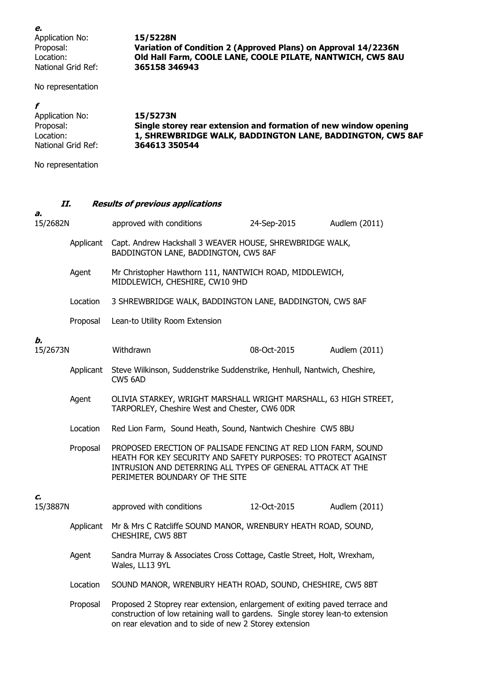**e.** Application No: **15/5228N**<br>Proposal: **Variation o National Grid Ref:** 

Variation of Condition 2 (Approved Plans) on Approval 14/2236N Location: **Old Hall Farm, COOLE LANE, COOLE PILATE, NANTWICH, CW5 8AU**<br>National Grid Ref: **365158 346943** 

No representation

| Application No:    | 15/5273N                                                         |
|--------------------|------------------------------------------------------------------|
| Proposal:          | Single storey rear extension and formation of new window opening |
| Location:          | 1, SHREWBRIDGE WALK, BADDINGTON LANE, BADDINGTON, CW5 8AF        |
| National Grid Ref: | 364613 350544                                                    |
|                    |                                                                  |

No representation

# **II. Results of previous applications**

| a.<br>15/2682N |           | approved with conditions                                                                                                                                                                                                        | 24-Sep-2015 | Audlem (2011) |
|----------------|-----------|---------------------------------------------------------------------------------------------------------------------------------------------------------------------------------------------------------------------------------|-------------|---------------|
|                | Applicant | Capt. Andrew Hackshall 3 WEAVER HOUSE, SHREWBRIDGE WALK,<br>BADDINGTON LANE, BADDINGTON, CW5 8AF                                                                                                                                |             |               |
|                | Agent     | Mr Christopher Hawthorn 111, NANTWICH ROAD, MIDDLEWICH,<br>MIDDLEWICH, CHESHIRE, CW10 9HD                                                                                                                                       |             |               |
|                | Location  | 3 SHREWBRIDGE WALK, BADDINGTON LANE, BADDINGTON, CW5 8AF                                                                                                                                                                        |             |               |
|                | Proposal  | Lean-to Utility Room Extension                                                                                                                                                                                                  |             |               |
| b.<br>15/2673N |           | Withdrawn                                                                                                                                                                                                                       | 08-Oct-2015 | Audlem (2011) |
|                | Applicant | Steve Wilkinson, Suddenstrike Suddenstrike, Henhull, Nantwich, Cheshire,<br>CW5 6AD                                                                                                                                             |             |               |
|                | Agent     | OLIVIA STARKEY, WRIGHT MARSHALL WRIGHT MARSHALL, 63 HIGH STREET,<br>TARPORLEY, Cheshire West and Chester, CW6 ODR                                                                                                               |             |               |
|                | Location  | Red Lion Farm, Sound Heath, Sound, Nantwich Cheshire CW5 8BU                                                                                                                                                                    |             |               |
|                | Proposal  | PROPOSED ERECTION OF PALISADE FENCING AT RED LION FARM, SOUND<br>HEATH FOR KEY SECURITY AND SAFETY PURPOSES: TO PROTECT AGAINST<br>INTRUSION AND DETERRING ALL TYPES OF GENERAL ATTACK AT THE<br>PERIMETER BOUNDARY OF THE SITE |             |               |
| c.<br>15/3887N |           | approved with conditions                                                                                                                                                                                                        | 12-Oct-2015 | Audlem (2011) |
|                | Applicant | Mr & Mrs C Ratcliffe SOUND MANOR, WRENBURY HEATH ROAD, SOUND,<br>CHESHIRE, CW5 8BT                                                                                                                                              |             |               |
|                | Agent     | Sandra Murray & Associates Cross Cottage, Castle Street, Holt, Wrexham,<br>Wales, LL13 9YL                                                                                                                                      |             |               |
|                | Location  | SOUND MANOR, WRENBURY HEATH ROAD, SOUND, CHESHIRE, CW5 8BT                                                                                                                                                                      |             |               |
|                | Proposal  | Proposed 2 Stoprey rear extension, enlargement of exiting paved terrace and<br>construction of low retaining wall to gardens. Single storey lean-to extension<br>on rear elevation and to side of new 2 Storey extension        |             |               |